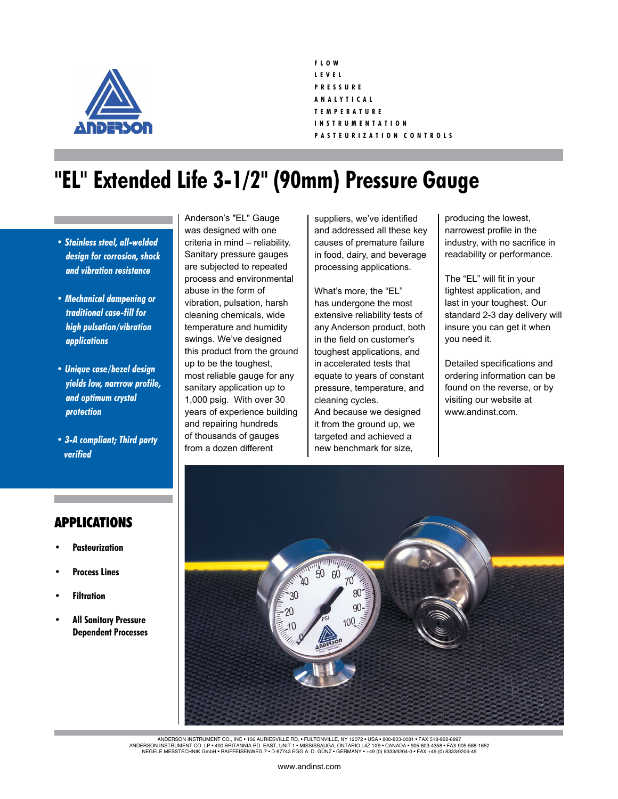

**F L O W L E V E L P R E S S U R E A N A L Y T I C A L T E M P E R A T U R E I N S T R U M E N T A T I O N P A S T E U R I Z A T I O N C O N T R O L S**

## **"EL" Extended Life 3-1/2" (90mm) Pressure Gauge**

- *Stainless steel, all-welded design for corrosion, shock and vibration resistance*
- *Mechanical dampening or traditional case-fill for high pulsation/vibration applications*
- *Unique case/bezel design yields low, narrrow profile, and optimum crystal protection*
- *3-A compliant; Third party verified*

Anderson's "EL" Gauge was designed with one criteria in mind – reliability. Sanitary pressure gauges are subjected to repeated process and environmental abuse in the form of vibration, pulsation, harsh cleaning chemicals, wide temperature and humidity swings. We've designed this product from the ground up to be the toughest, most reliable gauge for any sanitary application up to 1,000 psig. With over 30 years of experience building and repairing hundreds of thousands of gauges from a dozen different

suppliers, we've identified and addressed all these key causes of premature failure in food, dairy, and beverage processing applications.

What's more, the "EL" has undergone the most extensive reliability tests of any Anderson product, both in the field on customer's toughest applications, and in accelerated tests that equate to years of constant pressure, temperature, and cleaning cycles. And because we designed it from the ground up, we targeted and achieved a new benchmark for size,

producing the lowest, narrowest profile in the industry, with no sacrifice in readability or performance.

The "EL" will fit in your tightest application, and last in your toughest. Our standard 2-3 day delivery will insure you can get it when you need it.

Detailed specifications and ordering information can be found on the reverse, or by visiting our website at www.andinst.com.



ANDERSON INSTRUMENT CO., INC ∙ 156 AURIESVILLE RD. • FULTONVILLE, NY 12072 • USA • 800-833-0081 • FAX 518-922-8997<br>ANDERSON INSTRUMENT CO. LP • 400 BRITANNIA RD. EAST, UNIT 1 • MISSISSAUGA, ONTARIO L4Z 1X9 • CANADA • 905-

## APPLICATIONS

- **Pasteurization**
- **Process Lines**
- **• Filtration**
- **All Sanitary Pressure Dependent Processes**